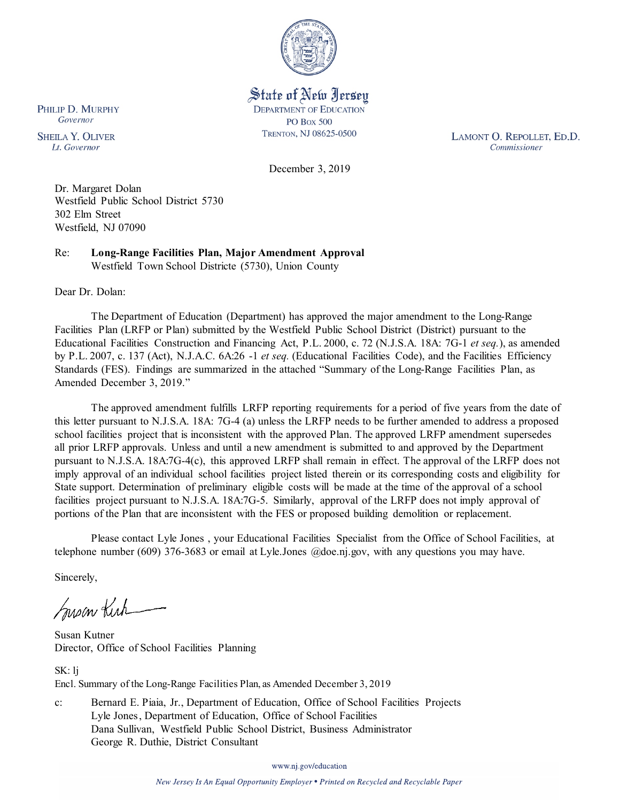

State of New Jersey **DEPARTMENT OF EDUCATION PO Box 500** TRENTON, NJ 08625-0500

LAMONT O. REPOLLET, ED.D. Commissioner

December 3, 2019

Dr. Margaret Dolan Westfield Public School District 5730 302 Elm Street Westfield, NJ 07090

Re: **Long-Range Facilities Plan, Major Amendment Approval** Westfield Town School Districte (5730), Union County

Dear Dr. Dolan:

PHILIP D. MURPHY Governor

**SHEILA Y. OLIVER** 

Lt. Governor

The Department of Education (Department) has approved the major amendment to the Long-Range Facilities Plan (LRFP or Plan) submitted by the Westfield Public School District (District) pursuant to the Educational Facilities Construction and Financing Act, P.L. 2000, c. 72 (N.J.S.A. 18A: 7G-1 *et seq.*), as amended by P.L. 2007, c. 137 (Act), N.J.A.C. 6A:26 -1 *et seq.* (Educational Facilities Code), and the Facilities Efficiency Standards (FES). Findings are summarized in the attached "Summary of the Long-Range Facilities Plan, as Amended December 3, 2019."

The approved amendment fulfills LRFP reporting requirements for a period of five years from the date of this letter pursuant to N.J.S.A. 18A: 7G-4 (a) unless the LRFP needs to be further amended to address a proposed school facilities project that is inconsistent with the approved Plan. The approved LRFP amendment supersedes all prior LRFP approvals. Unless and until a new amendment is submitted to and approved by the Department pursuant to N.J.S.A. 18A:7G-4(c), this approved LRFP shall remain in effect. The approval of the LRFP does not imply approval of an individual school facilities project listed therein or its corresponding costs and eligibility for State support. Determination of preliminary eligible costs will be made at the time of the approval of a school facilities project pursuant to N.J.S.A. 18A:7G-5. Similarly, approval of the LRFP does not imply approval of portions of the Plan that are inconsistent with the FES or proposed building demolition or replacement.

Please contact Lyle Jones , your Educational Facilities Specialist from the Office of School Facilities, at telephone number (609) 376-3683 or email at Lyle.Jones @doe.nj.gov, with any questions you may have.

Sincerely,

Inson Kich

Susan Kutner Director, Office of School Facilities Planning

SK: lj Encl. Summary of the Long-Range Facilities Plan, as Amended December 3, 2019

c: Bernard E. Piaia, Jr., Department of Education, Office of School Facilities Projects Lyle Jones, Department of Education, Office of School Facilities Dana Sullivan, Westfield Public School District, Business Administrator George R. Duthie, District Consultant

www.nj.gov/education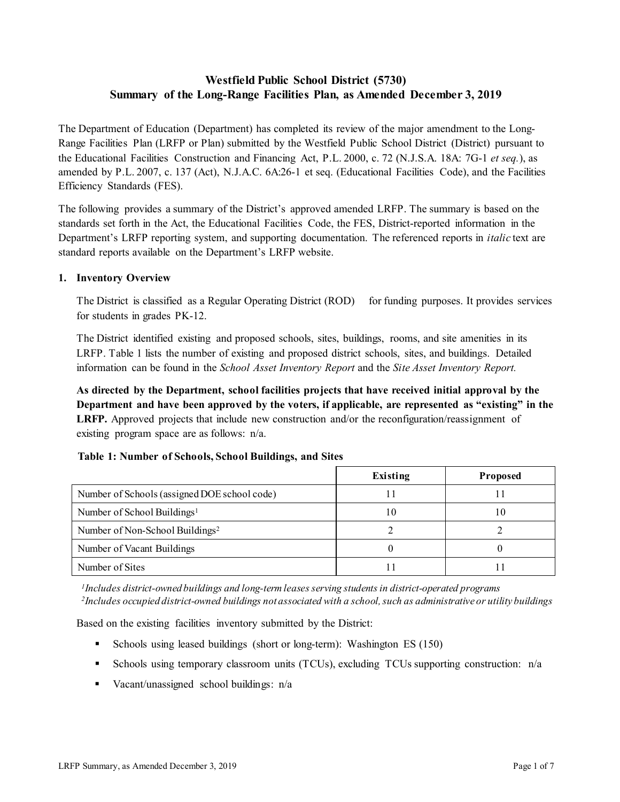# **Westfield Public School District (5730) Summary of the Long-Range Facilities Plan, as Amended December 3, 2019**

The Department of Education (Department) has completed its review of the major amendment to the Long-Range Facilities Plan (LRFP or Plan) submitted by the Westfield Public School District (District) pursuant to the Educational Facilities Construction and Financing Act, P.L. 2000, c. 72 (N.J.S.A. 18A: 7G-1 *et seq.*), as amended by P.L. 2007, c. 137 (Act), N.J.A.C. 6A:26-1 et seq. (Educational Facilities Code), and the Facilities Efficiency Standards (FES).

The following provides a summary of the District's approved amended LRFP. The summary is based on the standards set forth in the Act, the Educational Facilities Code, the FES, District-reported information in the Department's LRFP reporting system, and supporting documentation. The referenced reports in *italic* text are standard reports available on the Department's LRFP website.

# **1. Inventory Overview**

The District is classified as a Regular Operating District (ROD) for funding purposes. It provides services for students in grades PK-12.

The District identified existing and proposed schools, sites, buildings, rooms, and site amenities in its LRFP. Table 1 lists the number of existing and proposed district schools, sites, and buildings. Detailed information can be found in the *School Asset Inventory Report* and the *Site Asset Inventory Report.*

**As directed by the Department, school facilities projects that have received initial approval by the Department and have been approved by the voters, if applicable, are represented as "existing" in the LRFP.** Approved projects that include new construction and/or the reconfiguration/reassignment of existing program space are as follows: n/a.

|                                              | Existing | <b>Proposed</b> |
|----------------------------------------------|----------|-----------------|
| Number of Schools (assigned DOE school code) |          |                 |
| Number of School Buildings <sup>1</sup>      | 10       | 10              |
| Number of Non-School Buildings <sup>2</sup>  |          |                 |
| Number of Vacant Buildings                   |          |                 |
| Number of Sites                              |          |                 |

# **Table 1: Number of Schools, School Buildings, and Sites**

*1Includes district-owned buildings and long-term leases serving students in district-operated programs 2Includes occupied district-owned buildings not associated with a school, such as administrative or utility buildings*

Based on the existing facilities inventory submitted by the District:

- Schools using leased buildings (short or long-term): Washington ES (150)
- Schools using temporary classroom units (TCUs), excluding TCUs supporting construction: n/a
- Vacant/unassigned school buildings: n/a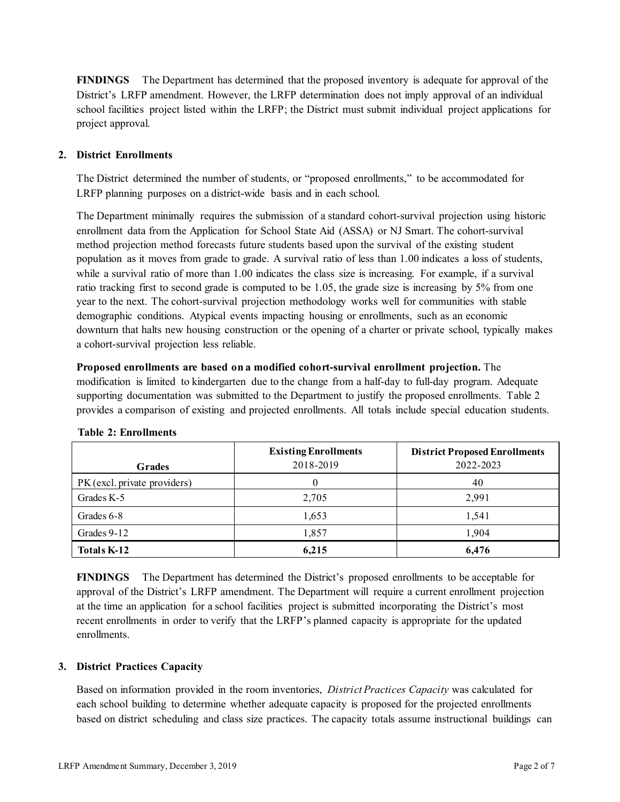**FINDINGS** The Department has determined that the proposed inventory is adequate for approval of the District's LRFP amendment. However, the LRFP determination does not imply approval of an individual school facilities project listed within the LRFP; the District must submit individual project applications for project approval.

# **2. District Enrollments**

The District determined the number of students, or "proposed enrollments," to be accommodated for LRFP planning purposes on a district-wide basis and in each school.

The Department minimally requires the submission of a standard cohort-survival projection using historic enrollment data from the Application for School State Aid (ASSA) or NJ Smart. The cohort-survival method projection method forecasts future students based upon the survival of the existing student population as it moves from grade to grade. A survival ratio of less than 1.00 indicates a loss of students, while a survival ratio of more than 1.00 indicates the class size is increasing. For example, if a survival ratio tracking first to second grade is computed to be 1.05, the grade size is increasing by 5% from one year to the next. The cohort-survival projection methodology works well for communities with stable demographic conditions. Atypical events impacting housing or enrollments, such as an economic downturn that halts new housing construction or the opening of a charter or private school, typically makes a cohort-survival projection less reliable.

**Proposed enrollments are based on a modified cohort-survival enrollment projection.** The modification is limited to kindergarten due to the change from a half-day to full-day program. Adequate supporting documentation was submitted to the Department to justify the proposed enrollments. Table 2 provides a comparison of existing and projected enrollments. All totals include special education students.

|                              | <b>Existing Enrollments</b> | <b>District Proposed Enrollments</b> |
|------------------------------|-----------------------------|--------------------------------------|
| <b>Grades</b>                | 2018-2019                   | 2022-2023                            |
| PK (excl. private providers) |                             | 40                                   |
| Grades K-5                   | 2,705                       | 2,991                                |
| Grades 6-8                   | 1,653                       | 1,541                                |
| Grades 9-12                  | 1,857                       | 1,904                                |
| Totals K-12                  | 6,215                       | 6,476                                |

# **Table 2: Enrollments**

**FINDINGS** The Department has determined the District's proposed enrollments to be acceptable for approval of the District's LRFP amendment. The Department will require a current enrollment projection at the time an application for a school facilities project is submitted incorporating the District's most recent enrollments in order to verify that the LRFP's planned capacity is appropriate for the updated enrollments.

# **3. District Practices Capacity**

Based on information provided in the room inventories, *District Practices Capacity* was calculated for each school building to determine whether adequate capacity is proposed for the projected enrollments based on district scheduling and class size practices. The capacity totals assume instructional buildings can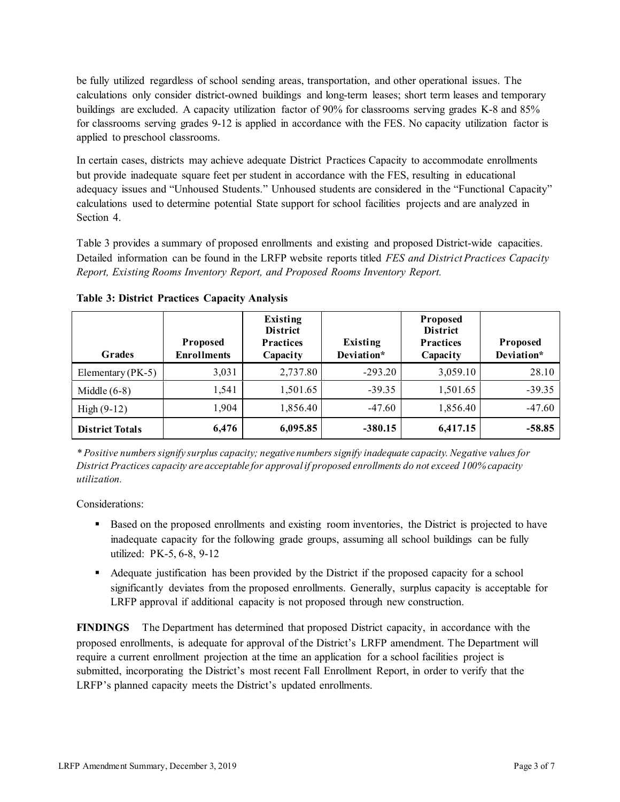be fully utilized regardless of school sending areas, transportation, and other operational issues. The calculations only consider district-owned buildings and long-term leases; short term leases and temporary buildings are excluded. A capacity utilization factor of 90% for classrooms serving grades K-8 and 85% for classrooms serving grades 9-12 is applied in accordance with the FES. No capacity utilization factor is applied to preschool classrooms.

In certain cases, districts may achieve adequate District Practices Capacity to accommodate enrollments but provide inadequate square feet per student in accordance with the FES, resulting in educational adequacy issues and "Unhoused Students." Unhoused students are considered in the "Functional Capacity" calculations used to determine potential State support for school facilities projects and are analyzed in Section 4.

Table 3 provides a summary of proposed enrollments and existing and proposed District-wide capacities. Detailed information can be found in the LRFP website reports titled *FES and District Practices Capacity Report, Existing Rooms Inventory Report, and Proposed Rooms Inventory Report.*

| <b>Grades</b>          | <b>Proposed</b><br><b>Enrollments</b> | Existing<br><b>District</b><br><b>Practices</b><br>Capacity | Existing<br>Deviation* | Proposed<br><b>District</b><br><b>Practices</b><br>Capacity | <b>Proposed</b><br>Deviation* |
|------------------------|---------------------------------------|-------------------------------------------------------------|------------------------|-------------------------------------------------------------|-------------------------------|
| Elementary ( $PK-5$ )  | 3,031                                 | 2,737.80                                                    | $-293.20$              | 3,059.10                                                    | 28.10                         |
| Middle $(6-8)$         | 1,541                                 | 1,501.65                                                    | $-39.35$               | 1,501.65                                                    | $-39.35$                      |
| High $(9-12)$          | 1,904                                 | 1,856.40                                                    | $-47.60$               | 1,856.40                                                    | $-47.60$                      |
| <b>District Totals</b> | 6,476                                 | 6,095.85                                                    | $-380.15$              | 6,417.15                                                    | $-58.85$                      |

**Table 3: District Practices Capacity Analysis**

*\* Positive numbers signify surplus capacity; negative numbers signify inadequate capacity. Negative values for District Practices capacity are acceptable for approvalif proposed enrollments do not exceed 100% capacity utilization.*

Considerations:

- Based on the proposed enrollments and existing room inventories, the District is projected to have inadequate capacity for the following grade groups, assuming all school buildings can be fully utilized: PK-5, 6-8, 9-12
- Adequate justification has been provided by the District if the proposed capacity for a school significantly deviates from the proposed enrollments. Generally, surplus capacity is acceptable for LRFP approval if additional capacity is not proposed through new construction.

**FINDINGS**The Department has determined that proposed District capacity, in accordance with the proposed enrollments, is adequate for approval of the District's LRFP amendment. The Department will require a current enrollment projection at the time an application for a school facilities project is submitted, incorporating the District's most recent Fall Enrollment Report, in order to verify that the LRFP's planned capacity meets the District's updated enrollments.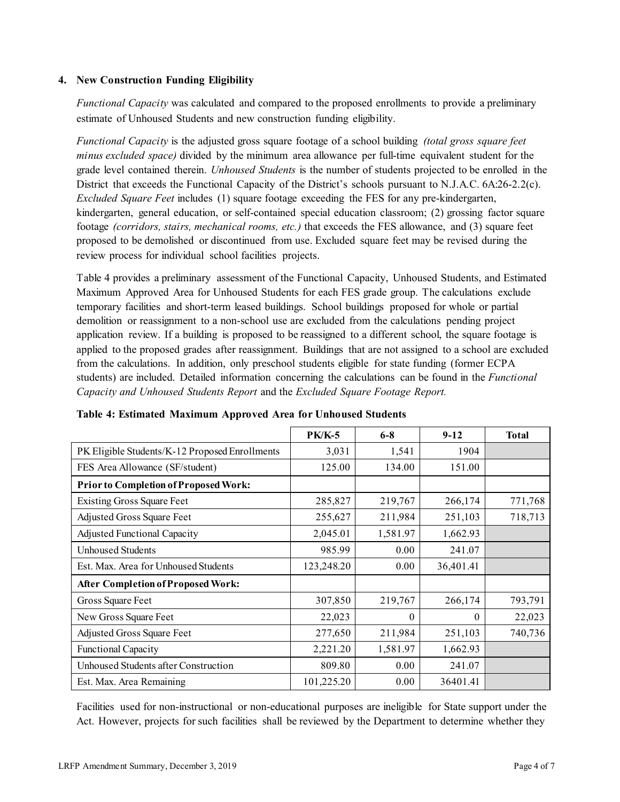# **4. New Construction Funding Eligibility**

*Functional Capacity* was calculated and compared to the proposed enrollments to provide a preliminary estimate of Unhoused Students and new construction funding eligibility.

*Functional Capacity* is the adjusted gross square footage of a school building *(total gross square feet minus excluded space)* divided by the minimum area allowance per full-time equivalent student for the grade level contained therein. *Unhoused Students* is the number of students projected to be enrolled in the District that exceeds the Functional Capacity of the District's schools pursuant to N.J.A.C. 6A:26-2.2(c). *Excluded Square Feet* includes (1) square footage exceeding the FES for any pre-kindergarten, kindergarten, general education, or self-contained special education classroom; (2) grossing factor square footage *(corridors, stairs, mechanical rooms, etc.)* that exceeds the FES allowance, and (3) square feet proposed to be demolished or discontinued from use. Excluded square feet may be revised during the review process for individual school facilities projects.

Table 4 provides a preliminary assessment of the Functional Capacity, Unhoused Students, and Estimated Maximum Approved Area for Unhoused Students for each FES grade group. The calculations exclude temporary facilities and short-term leased buildings. School buildings proposed for whole or partial demolition or reassignment to a non-school use are excluded from the calculations pending project application review. If a building is proposed to be reassigned to a different school, the square footage is applied to the proposed grades after reassignment. Buildings that are not assigned to a school are excluded from the calculations. In addition, only preschool students eligible for state funding (former ECPA students) are included. Detailed information concerning the calculations can be found in the *Functional Capacity and Unhoused Students Report* and the *Excluded Square Footage Report.*

|                                                | <b>PK/K-5</b> | $6 - 8$  | $9 - 12$  | <b>Total</b> |
|------------------------------------------------|---------------|----------|-----------|--------------|
| PK Eligible Students/K-12 Proposed Enrollments | 3,031         | 1,541    | 1904      |              |
| FES Area Allowance (SF/student)                | 125.00        | 134.00   | 151.00    |              |
| Prior to Completion of Proposed Work:          |               |          |           |              |
| <b>Existing Gross Square Feet</b>              | 285,827       | 219,767  | 266,174   | 771,768      |
| Adjusted Gross Square Feet                     | 255,627       | 211,984  | 251,103   | 718,713      |
| <b>Adjusted Functional Capacity</b>            | 2,045.01      | 1,581.97 | 1,662.93  |              |
| <b>Unhoused Students</b>                       | 985.99        | 0.00     | 241.07    |              |
| Est. Max. Area for Unhoused Students           | 123,248.20    | 0.00     | 36,401.41 |              |
| <b>After Completion of Proposed Work:</b>      |               |          |           |              |
| Gross Square Feet                              | 307,850       | 219,767  | 266,174   | 793,791      |
| New Gross Square Feet                          | 22,023        | $\Omega$ | 0         | 22,023       |
| Adjusted Gross Square Feet                     | 277,650       | 211,984  | 251,103   | 740,736      |
| <b>Functional Capacity</b>                     | 2,221.20      | 1,581.97 | 1,662.93  |              |
| Unhoused Students after Construction           | 809.80        | 0.00     | 241.07    |              |
| Est. Max. Area Remaining                       | 101,225.20    | 0.00     | 36401.41  |              |

**Table 4: Estimated Maximum Approved Area for Unhoused Students**

Facilities used for non-instructional or non-educational purposes are ineligible for State support under the Act. However, projects for such facilities shall be reviewed by the Department to determine whether they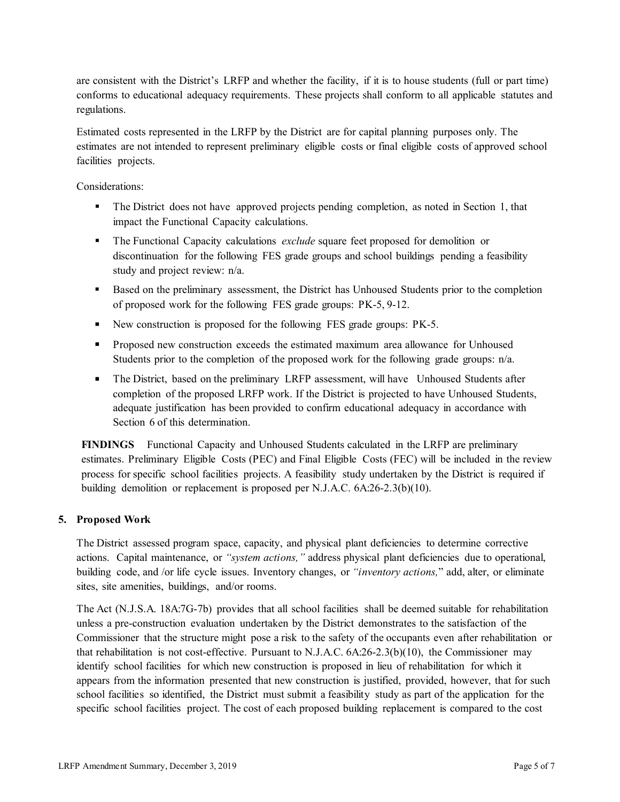are consistent with the District's LRFP and whether the facility, if it is to house students (full or part time) conforms to educational adequacy requirements. These projects shall conform to all applicable statutes and regulations.

Estimated costs represented in the LRFP by the District are for capital planning purposes only. The estimates are not intended to represent preliminary eligible costs or final eligible costs of approved school facilities projects.

Considerations:

- The District does not have approved projects pending completion, as noted in Section 1, that impact the Functional Capacity calculations.
- The Functional Capacity calculations *exclude* square feet proposed for demolition or discontinuation for the following FES grade groups and school buildings pending a feasibility study and project review: n/a.
- Based on the preliminary assessment, the District has Unhoused Students prior to the completion of proposed work for the following FES grade groups: PK-5, 9-12.
- New construction is proposed for the following FES grade groups: PK-5.
- Proposed new construction exceeds the estimated maximum area allowance for Unhoused Students prior to the completion of the proposed work for the following grade groups: n/a.
- The District, based on the preliminary LRFP assessment, will have Unhoused Students after completion of the proposed LRFP work. If the District is projected to have Unhoused Students, adequate justification has been provided to confirm educational adequacy in accordance with Section 6 of this determination.

**FINDINGS** Functional Capacity and Unhoused Students calculated in the LRFP are preliminary estimates. Preliminary Eligible Costs (PEC) and Final Eligible Costs (FEC) will be included in the review process for specific school facilities projects. A feasibility study undertaken by the District is required if building demolition or replacement is proposed per N.J.A.C. 6A:26-2.3(b)(10).

# **5. Proposed Work**

The District assessed program space, capacity, and physical plant deficiencies to determine corrective actions. Capital maintenance, or *"system actions,"* address physical plant deficiencies due to operational, building code, and /or life cycle issues. Inventory changes, or *"inventory actions,*" add, alter, or eliminate sites, site amenities, buildings, and/or rooms.

The Act (N.J.S.A. 18A:7G-7b) provides that all school facilities shall be deemed suitable for rehabilitation unless a pre-construction evaluation undertaken by the District demonstrates to the satisfaction of the Commissioner that the structure might pose a risk to the safety of the occupants even after rehabilitation or that rehabilitation is not cost-effective. Pursuant to N.J.A.C. 6A:26-2.3(b)(10), the Commissioner may identify school facilities for which new construction is proposed in lieu of rehabilitation for which it appears from the information presented that new construction is justified, provided, however, that for such school facilities so identified, the District must submit a feasibility study as part of the application for the specific school facilities project. The cost of each proposed building replacement is compared to the cost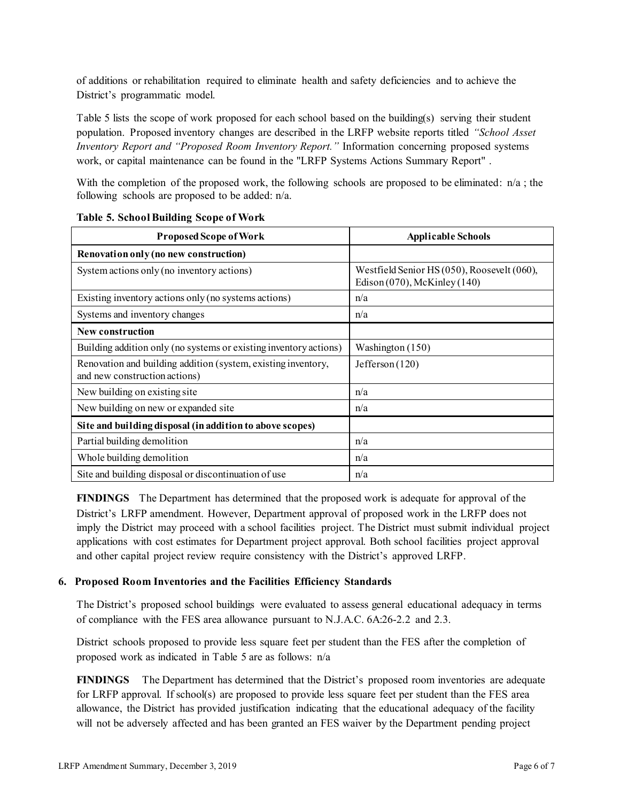of additions or rehabilitation required to eliminate health and safety deficiencies and to achieve the District's programmatic model.

Table 5 lists the scope of work proposed for each school based on the building(s) serving their student population. Proposed inventory changes are described in the LRFP website reports titled *"School Asset Inventory Report and "Proposed Room Inventory Report."* Information concerning proposed systems work, or capital maintenance can be found in the "LRFP Systems Actions Summary Report" .

With the completion of the proposed work, the following schools are proposed to be eliminated:  $n/a$ ; the following schools are proposed to be added: n/a.

| <b>Proposed Scope of Work</b>                                                                  | <b>Applicable Schools</b>                                                        |
|------------------------------------------------------------------------------------------------|----------------------------------------------------------------------------------|
| Renovation only (no new construction)                                                          |                                                                                  |
| System actions only (no inventory actions)                                                     | Westfield Senior HS (050), Roosevelt (060),<br>Edison $(070)$ , McKinley $(140)$ |
| Existing inventory actions only (no systems actions)                                           | n/a                                                                              |
| Systems and inventory changes                                                                  | n/a                                                                              |
| New construction                                                                               |                                                                                  |
| Building addition only (no systems or existing inventory actions)                              | Washington (150)                                                                 |
| Renovation and building addition (system, existing inventory,<br>and new construction actions) | Jefferson $(120)$                                                                |
| New building on existing site                                                                  | n/a                                                                              |
| New building on new or expanded site                                                           | n/a                                                                              |
| Site and building disposal (in addition to above scopes)                                       |                                                                                  |
| Partial building demolition                                                                    | n/a                                                                              |
| Whole building demolition                                                                      | n/a                                                                              |
| Site and building disposal or discontinuation of use                                           | n/a                                                                              |

#### **Table 5. School Building Scope of Work**

**FINDINGS** The Department has determined that the proposed work is adequate for approval of the District's LRFP amendment. However, Department approval of proposed work in the LRFP does not imply the District may proceed with a school facilities project. The District must submit individual project applications with cost estimates for Department project approval. Both school facilities project approval and other capital project review require consistency with the District's approved LRFP.

# **6. Proposed Room Inventories and the Facilities Efficiency Standards**

The District's proposed school buildings were evaluated to assess general educational adequacy in terms of compliance with the FES area allowance pursuant to N.J.A.C. 6A:26-2.2 and 2.3.

District schools proposed to provide less square feet per student than the FES after the completion of proposed work as indicated in Table 5 are as follows: n/a

**FINDINGS** The Department has determined that the District's proposed room inventories are adequate for LRFP approval. If school(s) are proposed to provide less square feet per student than the FES area allowance, the District has provided justification indicating that the educational adequacy of the facility will not be adversely affected and has been granted an FES waiver by the Department pending project